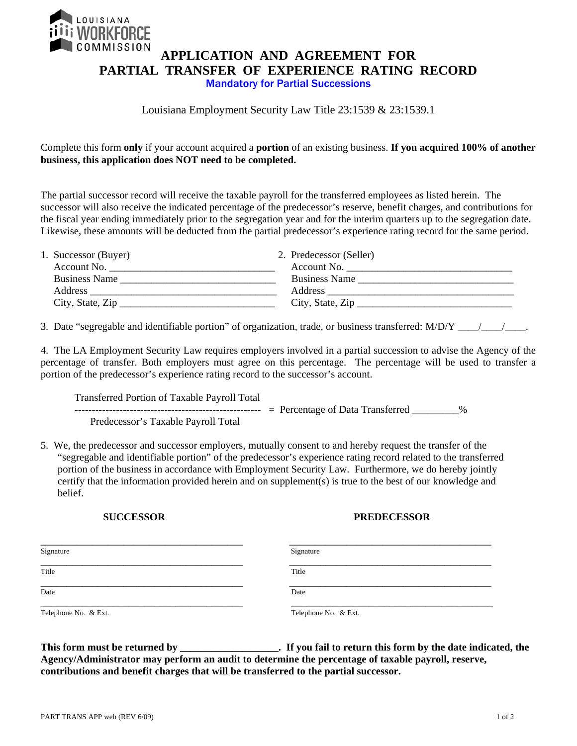

# **APPLICATION AND AGREEMENT FOR PARTIAL TRANSFER OF EXPERIENCE RATING RECORD**  Mandatory for Partial Successions

### Louisiana Employment Security Law Title 23:1539 & 23:1539.1

Complete this form **only** if your account acquired a **portion** of an existing business. **If you acquired 100% of another business, this application does NOT need to be completed.** 

The partial successor record will receive the taxable payroll for the transferred employees as listed herein. The successor will also receive the indicated percentage of the predecessor's reserve, benefit charges, and contributions for the fiscal year ending immediately prior to the segregation year and for the interim quarters up to the segregation date. Likewise, these amounts will be deducted from the partial predecessor's experience rating record for the same period.

| 1. Successor (Buyer) | 2. Predecessor (Seller)      |
|----------------------|------------------------------|
| Account No.          | Account No.                  |
| <b>Business Name</b> | <b>Business Name</b>         |
| Address              |                              |
| City, State, Zip     | City, State, $\text{Zip} \_$ |

3. Date "segregable and identifiable portion" of organization, trade, or business transferred:  $M/D/Y$  \_\_\_\_\_\_\_\_\_\_\_\_\_\_\_\_\_\_\_.

4. The LA Employment Security Law requires employers involved in a partial succession to advise the Agency of the percentage of transfer. Both employers must agree on this percentage. The percentage will be used to transfer a portion of the predecessor's experience rating record to the successor's account.

 Transferred Portion of Taxable Payroll Total ------------------------------------------------------ = Percentage of Data Transferred \_\_\_\_\_\_\_\_\_% Predecessor's Taxable Payroll Total

5. We, the predecessor and successor employers, mutually consent to and hereby request the transfer of the "segregable and identifiable portion" of the predecessor's experience rating record related to the transferred portion of the business in accordance with Employment Security Law. Furthermore, we do hereby jointly certify that the information provided herein and on supplement(s) is true to the best of our knowledge and belief.

#### **SUCCESSOR PREDECESSOR**

| Signature            | Signature            |
|----------------------|----------------------|
| Title                | Title                |
| Date                 | Date                 |
| Telephone No. & Ext. | Telephone No. & Ext. |

**This form must be returned by \_\_\_\_\_\_\_\_\_\_\_\_\_\_\_\_\_\_\_. If you fail to return this form by the date indicated, the Agency/Administrator may perform an audit to determine the percentage of taxable payroll, reserve, contributions and benefit charges that will be transferred to the partial successor.**